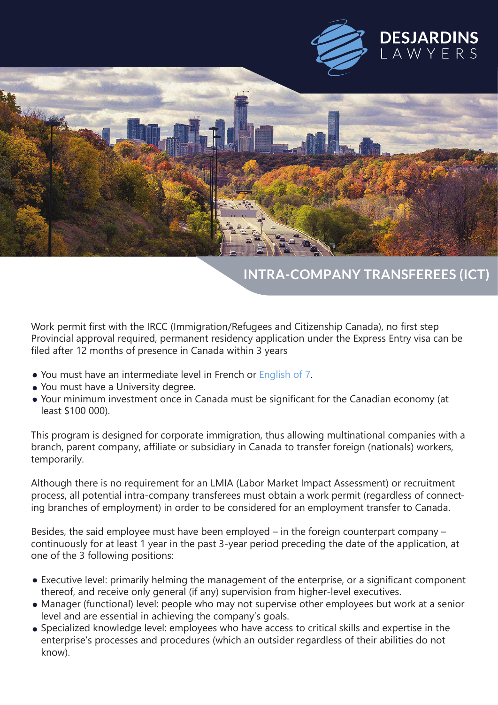



## **INTRA-COMPANY TRANSFEREES (ICT)**

Work permit first with the IRCC (Immigration/Refugees and Citizenship Canada), no first step Provincial approval required, permanent residency application under the Express Entry visa can be filed after 12 months of presence in Canada within 3 years

- You must have an intermediate level in French or English of 7.
- You must have a University degree.
- Your minimum investment once in Canada must be significant for the Canadian economy (at least \$100 000).

This program is designed for corporate immigration, thus allowing multinational companies with a branch, parent company, affiliate or subsidiary in Canada to transfer foreign (nationals) workers, temporarily.

Although there is no requirement for an LMIA (Labor Market Impact Assessment) or recruitment process, all potential intra-company transferees must obtain a work permit (regardless of connecting branches of employment) in order to be considered for an employment transfer to Canada.

Besides, the said employee must have been employed – in the foreign counterpart company – continuously for at least 1 year in the past 3-year period preceding the date of the application, at one of the 3 following positions:

- Executive level: primarily helming the management of the enterprise, or a significant component thereof, and receive only general (if any) supervision from higher-level executives.
- Manager (functional) level: people who may not supervise other employees but work at a senior level and are essential in achieving the company's goals.
- Specialized knowledge level: employees who have access to critical skills and expertise in the enterprise's processes and procedures (which an outsider regardless of their abilities do not know).